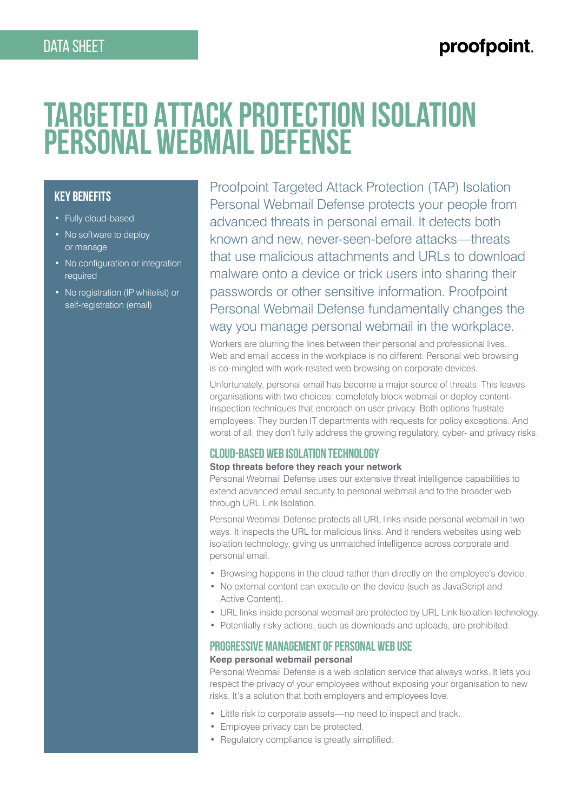# proofpoint.

# **Targeted Attack Protection Isolation Personal Webmail Defense**

# **Key Benefits**

- Fully cloud-based
- No software to deploy or manage
- No configuration or integration required
- No registration (IP whitelist) or self-registration (email)

Proofpoint Targeted Attack Protection (TAP) Isolation Personal Webmail Defense protects your people from advanced threats in personal email. It detects both known and new, never-seen-before attacks—threats that use malicious attachments and URLs to download malware onto a device or trick users into sharing their passwords or other sensitive information. Proofpoint Personal Webmail Defense fundamentally changes the way you manage personal webmail in the workplace.

Workers are blurring the lines between their personal and professional lives. Web and email access in the workplace is no different. Personal web browsing is co-mingled with work-related web browsing on corporate devices.

Unfortunately, personal email has become a major source of threats. This leaves organisations with two choices: completely block webmail or deploy contentinspection techniques that encroach on user privacy. Both options frustrate employees. They burden IT departments with requests for policy exceptions. And worst of all, they don't fully address the growing regulatory, cyber- and privacy risks.

#### **Cloud-Based Web Isolation Technology**

#### **Stop threats before they reach your network**

Personal Webmail Defense uses our extensive threat intelligence capabilities to extend advanced email security to personal webmail and to the broader web through URL Link Isolation.

Personal Webmail Defense protects all URL links inside personal webmail in two ways. It inspects the URL for malicious links. And it renders websites using web isolation technology, giving us unmatched intelligence across corporate and personal email.

- Browsing happens in the cloud rather than directly on the employee's device.
- No external content can execute on the device (such as JavaScript and Active Content).
- URL links inside personal webmail are protected by URL Link Isolation technology.
- Potentially risky actions, such as downloads and uploads, are prohibited.

#### **Progressive Management of Personal Web Use**

#### **Keep personal webmail personal**

Personal Webmail Defense is a web isolation service that always works. It lets you respect the privacy of your employees without exposing your organisation to new risks. It's a solution that both employers and employees love.

- Little risk to corporate assets—no need to inspect and track.
- Employee privacy can be protected.
- Regulatory compliance is greatly simplified.